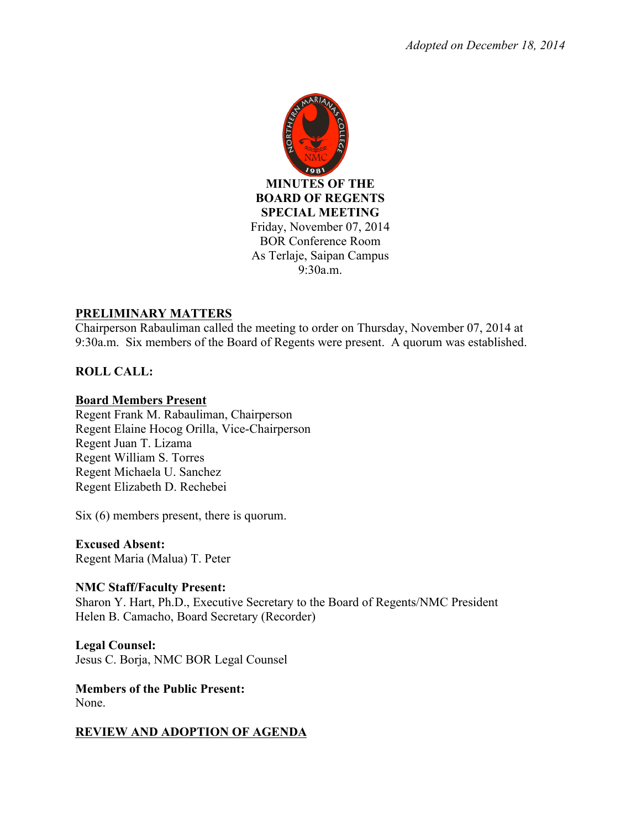

## **PRELIMINARY MATTERS**

Chairperson Rabauliman called the meeting to order on Thursday, November 07, 2014 at 9:30a.m. Six members of the Board of Regents were present. A quorum was established.

# **ROLL CALL:**

### **Board Members Present**

Regent Frank M. Rabauliman, Chairperson Regent Elaine Hocog Orilla, Vice-Chairperson Regent Juan T. Lizama Regent William S. Torres Regent Michaela U. Sanchez Regent Elizabeth D. Rechebei

Six (6) members present, there is quorum.

**Excused Absent:**  Regent Maria (Malua) T. Peter

### **NMC Staff/Faculty Present:**

Sharon Y. Hart, Ph.D., Executive Secretary to the Board of Regents/NMC President Helen B. Camacho, Board Secretary (Recorder)

**Legal Counsel:** Jesus C. Borja, NMC BOR Legal Counsel

**Members of the Public Present:**  None.

# **REVIEW AND ADOPTION OF AGENDA**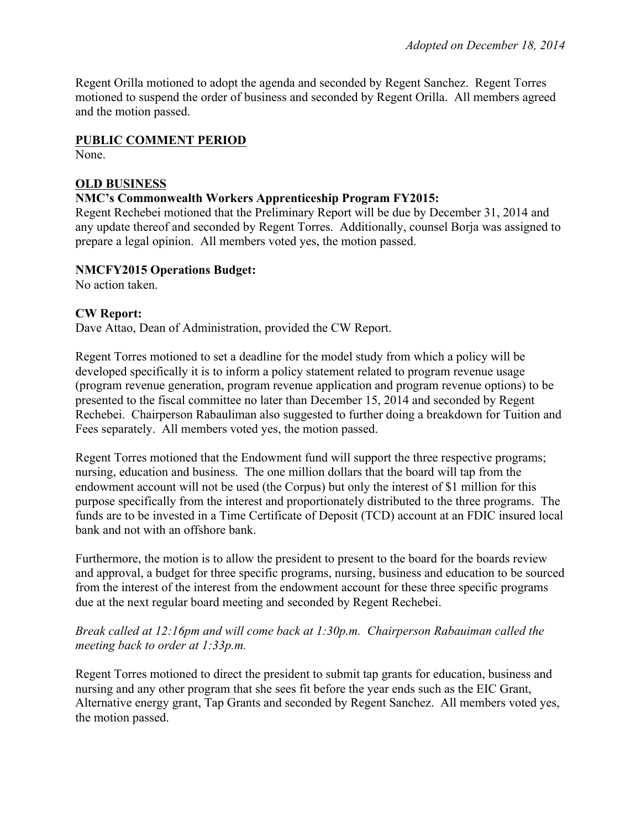Regent Orilla motioned to adopt the agenda and seconded by Regent Sanchez. Regent Torres motioned to suspend the order of business and seconded by Regent Orilla. All members agreed and the motion passed.

#### **PUBLIC COMMENT PERIOD**

None.

#### **OLD BUSINESS**

#### **NMC's Commonwealth Workers Apprenticeship Program FY2015:**

Regent Rechebei motioned that the Preliminary Report will be due by December 31, 2014 and any update thereof and seconded by Regent Torres. Additionally, counsel Borja was assigned to prepare a legal opinion. All members voted yes, the motion passed.

#### **NMCFY2015 Operations Budget:**

No action taken.

#### **CW Report:**

Dave Attao, Dean of Administration, provided the CW Report.

Regent Torres motioned to set a deadline for the model study from which a policy will be developed specifically it is to inform a policy statement related to program revenue usage (program revenue generation, program revenue application and program revenue options) to be presented to the fiscal committee no later than December 15, 2014 and seconded by Regent Rechebei. Chairperson Rabauliman also suggested to further doing a breakdown for Tuition and Fees separately. All members voted yes, the motion passed.

Regent Torres motioned that the Endowment fund will support the three respective programs; nursing, education and business. The one million dollars that the board will tap from the endowment account will not be used (the Corpus) but only the interest of \$1 million for this purpose specifically from the interest and proportionately distributed to the three programs. The funds are to be invested in a Time Certificate of Deposit (TCD) account at an FDIC insured local bank and not with an offshore bank.

Furthermore, the motion is to allow the president to present to the board for the boards review and approval, a budget for three specific programs, nursing, business and education to be sourced from the interest of the interest from the endowment account for these three specific programs due at the next regular board meeting and seconded by Regent Rechebei.

#### *Break called at 12:16pm and will come back at 1:30p.m. Chairperson Rabauiman called the meeting back to order at 1:33p.m.*

Regent Torres motioned to direct the president to submit tap grants for education, business and nursing and any other program that she sees fit before the year ends such as the EIC Grant, Alternative energy grant, Tap Grants and seconded by Regent Sanchez. All members voted yes, the motion passed.